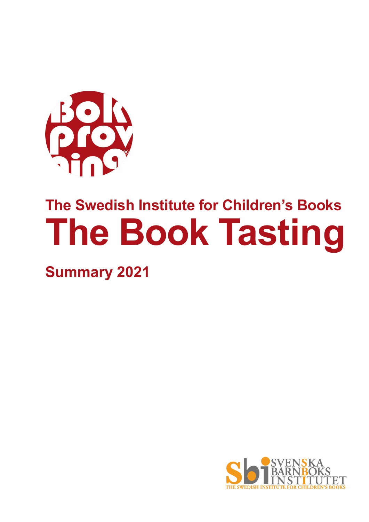

# **The Swedish Institute for Children's Books The Book Tasting**

**Summary 2021**

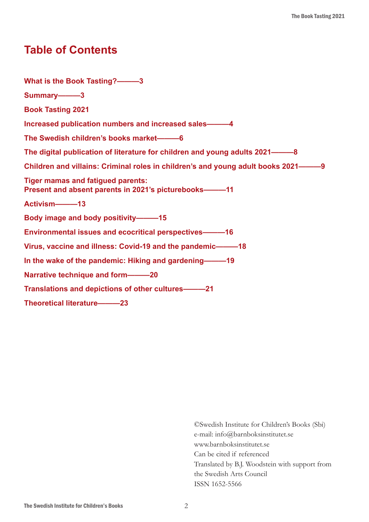# **Table of Contents**

**What is the Book Tasting?———3 Summary———3 Book Tasting 2021 Increased publication numbers and increased sales———4 The Swedish children's books market———6 The digital publication of literature for children and young adults 2021———8 Children and villains: Criminal roles in children's and young adult books 2021———9 Tiger mamas and fatigued parents: Present and absent parents in 2021's picturebooks———11 Activism———13 Body image and body positivity———15 Environmental issues and ecocritical perspectives———16 Virus, vaccine and illness: Covid-19 and the pandemic———18 In the wake of the pandemic: Hiking and gardening———19 Narrative technique and form———20 Translations and depictions of other cultures———21 Theoretical literature———23**

> ©Swedish Institute for Children's Books (Sbi) e-mail: info@barnboksinstitutet.se www.barnboksinstitutet.se Can be cited if referenced Translated by B.J. Woodstein with support from the Swedish Arts Council ISSN 1652-5566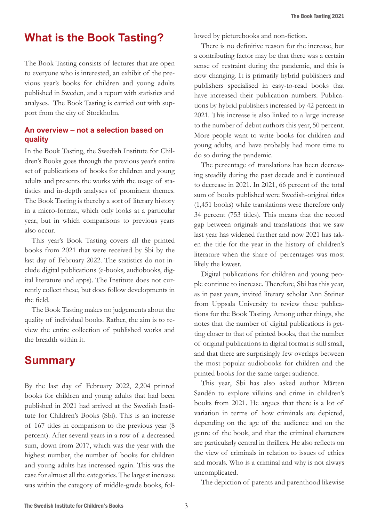# **What is the Book Tasting?**

The Book Tasting consists of lectures that are open to everyone who is interested, an exhibit of the previous year's books for children and young adults published in Sweden, and a report with statistics and analyses. The Book Tasting is carried out with support from the city of Stockholm.

# **An overview – not a selection based on quality**

In the Book Tasting, the Swedish Institute for Children's Books goes through the previous year's entire set of publications of books for children and young adults and presents the works with the usage of statistics and in-depth analyses of prominent themes. The Book Tasting is thereby a sort of literary history in a micro-format, which only looks at a particular year, but in which comparisons to previous years also occur.

This year's Book Tasting covers all the printed books from 2021 that were received by Sbi by the last day of February 2022. The statistics do not include digital publications (e-books, audiobooks, digital literature and apps). The Institute does not currently collect these, but does follow developments in the field.

The Book Tasting makes no judgements about the quality of individual books. Rather, the aim is to review the entire collection of published works and the breadth within it.

# **Summary**

By the last day of February 2022, 2,204 printed books for children and young adults that had been published in 2021 had arrived at the Swedish Institute for Children's Books (Sbi). This is an increase of 167 titles in comparison to the previous year (8 percent). After several years in a row of a decreased sum, down from 2017, which was the year with the highest number, the number of books for children and young adults has increased again. This was the case for almost all the categories. The largest increase was within the category of middle-grade books, followed by picturebooks and non-fiction.

There is no definitive reason for the increase, but a contributing factor may be that there was a certain sense of restraint during the pandemic, and this is now changing. It is primarily hybrid publishers and publishers specialised in easy-to-read books that have increased their publication numbers. Publications by hybrid publishers increased by 42 percent in 2021. This increase is also linked to a large increase to the number of debut authors this year, 50 percent. More people want to write books for children and young adults, and have probably had more time to do so during the pandemic.

The percentage of translations has been decreasing steadily during the past decade and it continued to decrease in 2021. In 2021, 66 percent of the total sum of books published were Swedish-original titles (1,451 books) while translations were therefore only 34 percent (753 titles). This means that the record gap between originals and translations that we saw last year has widened further and now 2021 has taken the title for the year in the history of children's literature when the share of percentages was most likely the lowest.

Digital publications for children and young people continue to increase. Therefore, Sbi has this year, as in past years, invited literary scholar Ann Steiner from Uppsala University to review these publications for the Book Tasting. Among other things, she notes that the number of digital publications is getting closer to that of printed books, that the number of original publications in digital format is still small, and that there are surprisingly few overlaps between the most popular audiobooks for children and the printed books for the same target audience.

This year, Sbi has also asked author Mårten Sandén to explore villains and crime in children's books from 2021. He argues that there is a lot of variation in terms of how criminals are depicted, depending on the age of the audience and on the genre of the book, and that the criminal characters are particularly central in thrillers. He also reflects on the view of criminals in relation to issues of ethics and morals. Who is a criminal and why is not always uncomplicated.

The depiction of parents and parenthood likewise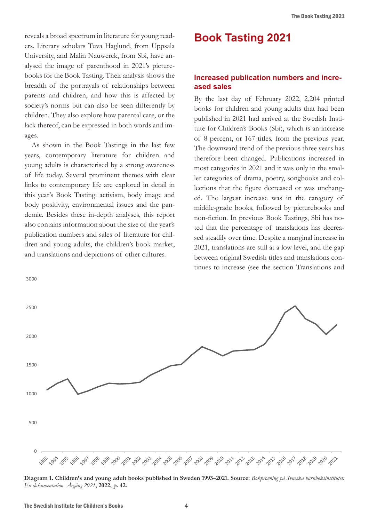reveals a broad spectrum in literature for young readers. Literary scholars Tuva Haglund, from Uppsala University, and Malin Nauwerck, from Sbi, have analysed the image of parenthood in 2021's picturebooks for the Book Tasting. Their analysis shows the breadth of the portrayals of relationships between parents and children, and how this is affected by society's norms but can also be seen differently by children. They also explore how parental care, or the lack thereof, can be expressed in both words and images.

As shown in the Book Tastings in the last few years, contemporary literature for children and young adults is characterised by a strong awareness of life today. Several prominent themes with clear links to contemporary life are explored in detail in this year's Book Tasting: activism, body image and body positivity, environmental issues and the pandemic. Besides these in-depth analyses, this report also contains information about the size of the year's publication numbers and sales of literature for children and young adults, the children's book market, and translations and depictions of other cultures.

3000

# **Book Tasting 2021**

#### **Increased publication numbers and increased sales**

By the last day of February 2022, 2,204 printed books for children and young adults that had been published in 2021 had arrived at the Swedish Institute for Children's Books (Sbi), which is an increase of 8 percent, or 167 titles, from the previous year. The downward trend of the previous three years has therefore been changed. Publications increased in most categories in 2021 and it was only in the smaller categories of drama, poetry, songbooks and collections that the figure decreased or was unchanged. The largest increase was in the category of middle-grade books, followed by picturebooks and non-fiction. In previous Book Tastings, Sbi has noted that the percentage of translations has decreased steadily over time. Despite a marginal increase in 2021, translations are still at a low level, and the gap between original Swedish titles and translations continues to increase (see the section Translations and



Diagram 1. Children's and young adult books published in Sweden 1993–2021. Source: Bokprovning på Svneska barnboksinstitutet: *En dokumentation. Årgång 2021***, 2022, p. 42.**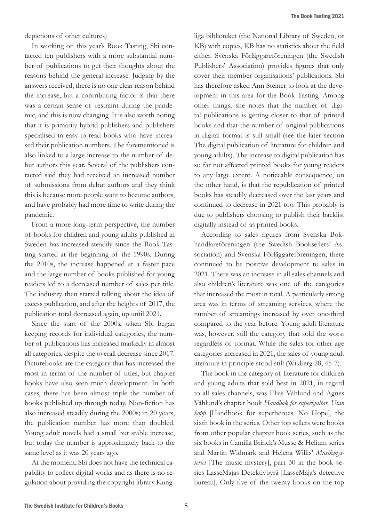The Book Tasting 2021

depictions of other cultures)

In working on this year's Book Tasting, Sbi contacted ten publishers with a more substantial number of publications to get their thoughts about the reasons behind the general increase. Judging by the answers received, there is no one clear reason behind the increase, but a contributing factor is that there was a certain sense of restraint during the pandemic, and this is now changing. It is also worth noting that it is primarily hybrid publishers and publishers specialised in easy-to-read books who have increased their publication numbers. The forementioned is also linked to a large increase to the number of debut authors this year. Several of the publishers contacted said they had received an increased number of submissions from debut authors and they think this is because more people want to become authors, and have probably had more time to write during the pandemic.

From a more long-term perspective, the number of books for children and young adults published in Sweden has increased steadily since the Book Tasting started at the beginning of the 1990s. During the 2010s, the increase happened at a faster pace and the large number of books published for young readers led to a decreased number of sales per title. The industry then started talking about the idea of excess publication, and after the heights of 2017, the publication total decreased again, up until 2021.

Since the start of the 2000s, when Sbi began keeping records for individual categories, the number of publications has increased markedly in almost all categories, despite the overall decrease since 2017. Picturebooks are the category that has increased the most in terms of the number of titles, but chapter books have also seen much development. In both cases, there has been almost triple the number of books published up through today. Non-fiction has also increased steadily during the 2000s; in 20 years, the publication number has more than doubled. Young adult novels had a small but stable increase, but today the number is approximately back to the same level as it was 20 years ago.

At the moment, Sbi does not have the technical capability to collect digital works and as there is no regulation about providing the copyright library Kung-

liga biblioteket (the National Library of Sweden, or KB) with copies, KB has no statistics about the field either. Svenska Förläggareföreningen (the Swedish Publishers' Association) provides figures that only cover their member organisations' publications. Sbi has therefore asked Ann Steiner to look at the development in this area for the Book Tasting. Among other things, she notes that the number of digital publications is getting closer to that of printed books and that the number of original publications in digital format is still small (see the later section The digital publication of literature for children and young adults). The increase to digital publication has so far not affected printed books for young readers to any large extent. A noticeable consequence, on the other hand, is that the republication of printed books has steadily decreased over the last years and continued to decrease in 2021 too. This probably is due to publishers choosing to publish their backlist digitally instead of as printed books.

According to sales figures from Svenska Bokhandlareföreningen (the Swedish Booksellers' Association) and Svenska Förläggareföreningen, there continued to be positive development to sales in 2021. There was an increase in all sales channels and also children's literature was one of the categories that increased the most in total. A particularly strong area was in terms of streaming services, where the number of streamings increased by over one-third compared to the year before. Young adult literature was, however, still the category that sold the worst regardless of format. While the sales for other age categories increased in 2021, the sales of young adult literature in principle stood still (Wikberg 28, 45-7).

The book in the category of literature for children and young adults that sold best in 2021, in regard to all sales channels, was Elias Våhlund and Agnes Våhlund's chapter book *Handbok för superhjältar. Utan hopp* [Handbook for superheroes. No Hope], the sixth book in the series. Other top sellers were books from other popular chapter book series, such as the six books in Camilla Brinck's Musse & Helium series and Martin Widmark and Helena Willis' *Musikmysteriet* [The music mystery], part 30 in the book series LasseMajas Detektivbyrå [LasseMaja's detective bureau]. Only five of the twenty books on the top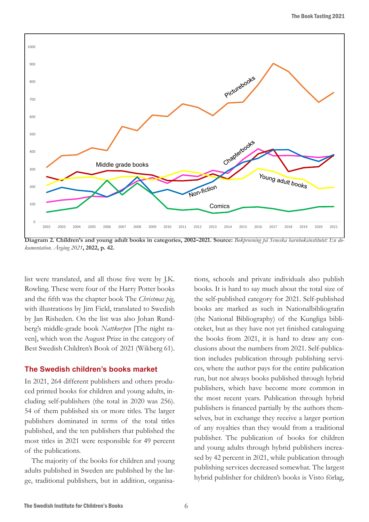

**Diagram 2. Children's and young adult books in categories, 2002–2021. Source:** *Bokprovning på Svneska barnboksinstitutet: En dokumentation. Årgång 2021***, 2022, p. 42.**

list were translated, and all those five were by J.K. Rowling. These were four of the Harry Potter books and the fifth was the chapter book The *Christmas pig*, with illustrations by Jim Field, translated to Swedish by Jan Risheden. On the list was also Johan Rundberg's middle-grade book *Nattkorpen* [The night raven], which won the August Prize in the category of Best Swedish Children's Book of 2021 (Wikberg 61).

#### **The Swedish children's books market**

In 2021, 264 different publishers and others produced printed books for children and young adults, including self-publishers (the total in 2020 was 256). 54 of them published six or more titles. The larger publishers dominated in terms of the total titles published, and the ten publishers that published the most titles in 2021 were responsible for 49 percent of the publications.

The majority of the books for children and young adults published in Sweden are published by the large, traditional publishers, but in addition, organisa-

tions, schools and private individuals also publish books. It is hard to say much about the total size of the self-published category for 2021. Self-published books are marked as such in Nationalbibliografin (the National Bibliography) of the Kungliga biblioteket, but as they have not yet finished cataloguing the books from 2021, it is hard to draw any conclusions about the numbers from 2021. Self-publication includes publication through publishing services, where the author pays for the entire publication run, but not always books published through hybrid publishers, which have become more common in the most recent years. Publication through hybrid publishers is financed partially by the authors themselves, but in exchange they receive a larger portion of any royalties than they would from a traditional publisher. The publication of books for children and young adults through hybrid publishers increased by 42 percent in 2021, while publication through publishing services decreased somewhat. The largest hybrid publisher for children's books is Visto förlag,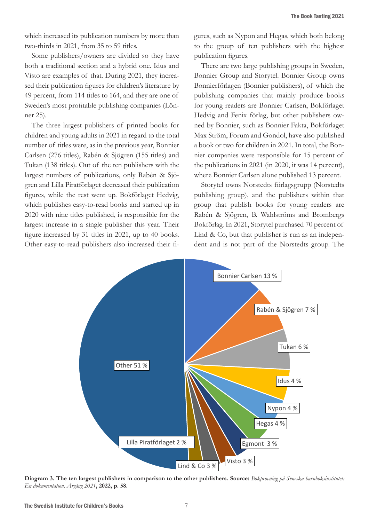which increased its publication numbers by more than two-thirds in 2021, from 35 to 59 titles.

Some publishers/owners are divided so they have both a traditional section and a hybrid one. Idus and Visto are examples of that. During 2021, they increased their publication figures for children's literature by 49 percent, from 114 titles to 164, and they are one of Sweden's most profitable publishing companies (Lönner 25).

The three largest publishers of printed books for children and young adults in 2021 in regard to the total number of titles were, as in the previous year, Bonnier Carlsen (276 titles), Rabén & Sjögren (155 titles) and Tukan (138 titles). Out of the ten publishers with the largest numbers of publications, only Rabén & Sjögren and Lilla Piratförlaget decreased their publication figures, while the rest went up. Bokförlaget Hedvig, which publishes easy-to-read books and started up in 2020 with nine titles published, is responsible for the largest increase in a single publisher this year. Their figure increased by 31 titles in 2021, up to 40 books. Other easy-to-read publishers also increased their figures, such as Nypon and Hegas, which both belong to the group of ten publishers with the highest publication figures.

There are two large publishing groups in Sweden, Bonnier Group and Storytel. Bonnier Group owns Bonnierförlagen (Bonnier publishers), of which the publishing companies that mainly produce books for young readers are Bonnier Carlsen, Bokförlaget Hedvig and Fenix förlag, but other publishers owned by Bonnier, such as Bonnier Fakta, Bokförlaget Max Ström, Forum and Gondol, have also published a book or two for children in 2021. In total, the Bonnier companies were responsible for 15 percent of the publications in 2021 (in 2020, it was 14 percent), where Bonnier Carlsen alone published 13 percent.

Storytel owns Norstedts förlagsgrupp (Norstedts publishing group), and the publishers within that group that publish books for young readers are Rabén & Sjögren, B. Wahlströms and Brombergs Bokförlag. In 2021, Storytel purchased 70 percent of Lind & Co, but that publisher is run as an independent and is not part of the Norstedts group. The



**Diagram 3. The ten largest publishers in comparison to the other publishers. Source:** *Bokprovning på Svneska barnboksinstitutet: En dokumentation. Årgång 2021***, 2022, p. 58.**

The Swedish Institute for Children's Books 7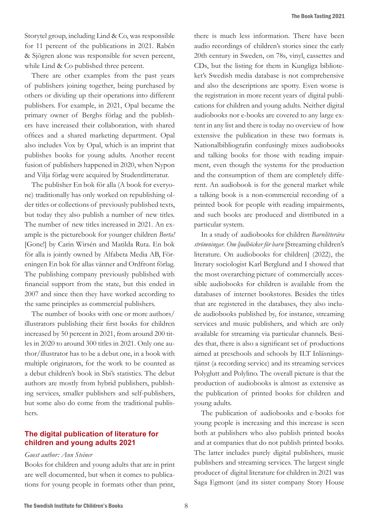Storytel group, including Lind & Co, was responsible for 11 percent of the publications in 2021. Rabén & Sjögren alone was responsible for seven percent, while Lind & Co published three percent.

There are other examples from the past years of publishers joining together, being purchased by others or dividing up their operations into different publishers. For example, in 2021, Opal became the primary owner of Berghs förlag and the publishers have increased their collaboration, with shared offices and a shared marketing department. Opal also includes Vox by Opal, which is an imprint that publishes books for young adults. Another recent fusion of publishers happened in 2020, when Nypon and Vilja förlag were acquired by Studentlitteratur.

The publisher En bok för alla (A book for everyone) traditionally has only worked on republishing older titles or collections of previously published texts, but today they also publish a number of new titles. The number of new titles increased in 2021. An example is the picturebook for younger children *Borta!*  [Gone!] by Carin Wirsén and Matilda Ruta. En bok för alla is jointly owned by Alfabeta Media AB, Föreningen En bok för allas vänner and Ordfront förlag. The publishing company previously published with financial support from the state, but this ended in 2007 and since then they have worked according to the same principles as commercial publishers.

The number of books with one or more authors/ illustrators publishing their first books for children increased by 50 percent in 2021, from around 200 titles in 2020 to around 300 titles in 2021. Only one author/illustrator has to be a debut one, in a book with multiple originators, for the work to be counted as a debut children's book in Sbi's statistics. The debut authors are mostly from hybrid publishers, publishing services, smaller publishers and self-publishers, but some also do come from the traditional publishers.

### **The digital publication of literature for children and young adults 2021**

#### *Guest author: Ann Steiner*

Books for children and young adults that are in print are well documented, but when it comes to publications for young people in formats other than print,

there is much less information. There have been audio recordings of children's stories since the early 20th century in Sweden, on 78s, vinyl, cassettes and CDs, but the listing for them in Kungliga biblioteket's Swedish media database is not comprehensive and also the descriptions are spotty. Even worse is the registration in more recent years of digital publications for children and young adults. Neither digital audiobooks nor e-books are covered to any large extent in any list and there is today no overview of how extensive the publication in these two formats is. Nationalbibliografin confusingly mixes audiobooks and talking books for those with reading impairment, even though the systems for the production and the consumption of them are completely different. An audiobook is for the general market while a talking book is a non-commercial recording of a printed book for people with reading impairments, and such books are produced and distributed in a particular system.

In a study of audiobooks for children *Barnlitterära strömningar. Om ljudböcker för barn* [Streaming children's literature. On audiobooks for children] (2022), the literary sociologist Karl Berglund and I showed that the most overarching picture of commercially accessible audiobooks for children is available from the databases of internet bookstores. Besides the titles that are registered in the databases, they also include audiobooks published by, for instance, streaming services and music publishers, and which are only available for streaming via particular channels. Besides that, there is also a significant set of productions aimed at preschools and schools by ILT Inläsningstjänst (a recording service) and its streaming services Polyglutt and Polylino. The overall picture is that the production of audiobooks is almost as extensive as the publication of printed books for children and young adults.

The publication of audiobooks and e-books for young people is increasing and this increase is seen both at publishers who also publish printed books and at companies that do not publish printed books. The latter includes purely digital publishers, music publishers and streaming services. The largest single producer of digital literature for children in 2021 was Saga Egmont (and its sister company Story House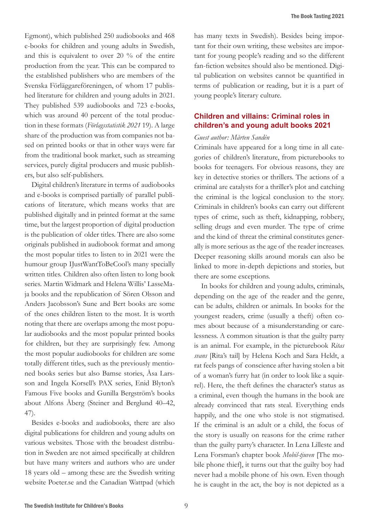Egmont), which published 250 audiobooks and 468 e-books for children and young adults in Swedish, and this is equivalent to over 20 % of the entire production from the year. This can be compared to the established publishers who are members of the Svenska Förläggareföreningen, of whom 17 published literature for children and young adults in 2021. They published 539 audiobooks and 723 e-books, which was around 40 percent of the total production in these formats (*Förlagsstatistik 2021* 19). A large share of the production was from companies not based on printed books or that in other ways were far from the traditional book market, such as streaming services, purely digital producers and music publishers, but also self-publishers.

Digital children's literature in terms of audiobooks and e-books is comprised partially of parallel publications of literature, which means works that are published digitally and in printed format at the same time, but the largest proportion of digital production is the publication of older titles. There are also some originals published in audiobook format and among the most popular titles to listen to in 2021 were the humour group IJustWantToBeCool's many specially written titles. Children also often listen to long book series. Martin Widmark and Helena Willis' LasseMaja books and the republication of Sören Olsson and Anders Jacobsson's Sune and Bert books are some of the ones children listen to the most. It is worth noting that there are overlaps among the most popular audiobooks and the most popular printed books for children, but they are surprisingly few. Among the most popular audiobooks for children are some totally different titles, such as the previously mentioned books series but also Bamse stories, Åsa Larsson and Ingela Korsell's PAX series, Enid Blyton's Famous Five books and Gunilla Bergström's books about Alfons Åberg (Steiner and Berglund 40–42, 47).

Besides e-books and audiobooks, there are also digital publications for children and young adults on various websites. Those with the broadest distribution in Sweden are not aimed specifically at children but have many writers and authors who are under 18 years old – among these are the Swedish writing website Poeter.se and the Canadian Wattpad (which

has many texts in Swedish). Besides being important for their own writing, these websites are important for young people's reading and so the different fan-fiction websites should also be mentioned. Digital publication on websites cannot be quantified in terms of publication or reading, but it is a part of young people's literary culture.

# **Children and villains: Criminal roles in children's and young adult books 2021**

#### *Guest author: Mårten Sandén*

Criminals have appeared for a long time in all categories of children's literature, from picturebooks to books for teenagers. For obvious reasons, they are key in detective stories or thrillers. The actions of a criminal are catalysts for a thriller's plot and catching the criminal is the logical conclusion to the story. Criminals in children's books can carry out different types of crime, such as theft, kidnapping, robbery, selling drugs and even murder. The type of crime and the kind of threat the criminal constitutes generally is more serious as the age of the reader increases. Deeper reasoning skills around morals can also be linked to more in-depth depictions and stories, but there are some exceptions.

In books for children and young adults, criminals, depending on the age of the reader and the genre, can be adults, children or animals. In books for the youngest readers, crime (usually a theft) often comes about because of a misunderstanding or carelessness. A common situation is that the guilty party is an animal. For example, in the picturebook *Ritas svans* [Rita's tail] by Helena Koch and Sara Heldt, a rat feels pangs of conscience after having stolen a bit of a woman's furry hat (in order to look like a squirrel). Here, the theft defines the character's status as a criminal, even though the humans in the book are already convinced that rats steal. Everything ends happily, and the one who stole is not stigmatised. If the criminal is an adult or a child, the focus of the story is usually on reasons for the crime rather than the guilty party's character. In Lena Lilleste and Lena Forsman's chapter book *Mobil-tjuven* [The mobile phone thief], it turns out that the guilty boy had never had a mobile phone of his own. Even though he is caught in the act, the boy is not depicted as a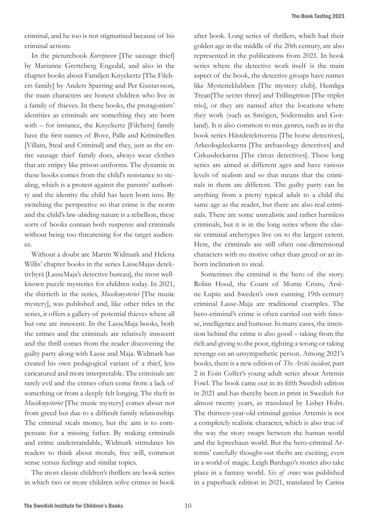criminal, and he too is not stigmatised because of his criminal actions.

In the picturebook *Korvtjuven* [The sausage thief] by Marianne Gretteberg Engedal, and also in the chapter books about Familjen Knyckertz [The Filchers family] by Anders Sparring and Per Gustavsson, the main characters are honest children who live in a family of thieves. In these books, the protagonists' identities as criminals are something they are born with – for instance, the Knyckertz [Filchers] family have the first names of Bove, Palle and Kriminellen [Villain, Steal and Criminal] and they, just as the entire sausage thief family does, always wear clothes that are stripey like prison uniforms. The dynamic in these books comes from the child's resistance to stealing, which is a protest against the parents' authority and the identity the child has been born into. By switching the perspective so that crime is the norm and the child's law-abiding nature is a rebellion, these sorts of books contain both suspense and criminals without being too threatening for the target audience.

Without a doubt are Martin Widmark and Helena Willis' chapter books in the series LasseMajas detektivbyrå [LasseMaja's detective bureau], the most wellknown puzzle mysteries for children today. In 2021, the thirtieth in the series, *Musikmysteriet* [The music mystery], was published and, like other titles in the series, it offers a gallery of potential thieves where all but one are innocent. In the LasseMaja books, both the crimes and the criminals are relatively innocent and the thrill comes from the reader discovering the guilty party along with Lasse and Maja. Widmark has created his own pedagogical variant of a thief, less caricatured and more interpretable. The criminals are rarely evil and the crimes often come from a lack of something or from a deeply felt longing. The theft in *Musikmysteriet* [The music mystery] comes about not from greed but due to a difficult family relationship. The criminal steals money, but the aim is to compensate for a missing father. By making criminals and crime understandable, Widmark stimulates his readers to think about morals, free will, common sense versus feelings and similar topics.

The most classic children's thrillers are book series in which two or more children solve crimes in book

after book. Long series of thrillers, which had their golden age in the middle of the 20th century, are also represented in the publications from 2021. In book series where the detective work itself is the main aspect of the book, the detective groups have names like Mysterieklubben [The mystery club], Hemliga Trean[The secret three] and Trillingtrion [The triplet trio], or they are named after the locations where they work (such as Smögen, Södermalm and Gotland). It is also common to mix genres, such as in the book series Hästdetektiverna [The horse detectives], Arkeologdeckarna [The archaeology detectives] and Cirkusdeckarna [The circus detectives]. These long series are aimed at different ages and have various levels of realism and so that means that the criminals in them are different. The guilty party can be anything from a pretty typical adult to a child the same age as the reader, but there are also real criminals. There are some unrealistic and rather harmless criminals, but it is in the long series where the classic criminal archetypes live on to the largest extent. Here, the criminals are still often one-dimensional characters with no motive other than greed or an inborn inclination to steal.

Sometimes the criminal is the hero of the story. Robin Hood, the Count of Monte Cristo, Arsène Lupin and Sweden's own cunning 19th-century criminal Lasse-Maja are traditional examples. The hero-criminal's crime is often carried out with finesse, intelligence and humour. In many cases, the intention behind the crime is also good – taking from the rich and giving to the poor, righting a wrong or taking revenge on an unsympathetic person. Among 2021's books, there is a new edition of *The Arctic incident*, part 2 in Eoin Colfer's young adult series about Artemis Fowl. The book came out in its fifth Swedish edition in 2021 and has thereby been in print in Swedish for almost twenty years, as translated by Lisbet Holst. The thirteen-year-old criminal genius Artemis is not a completely realistic character, which is also true of the way the story swaps between the human world and the leprechaun world. But the hero-criminal Artemis' carefully thought-out thefts are exciting, even in a world of magic. Leigh Bardugo's stories also take place in a fantasy world. *Six of crows* was published in a paperback edition in 2021, translated by Carina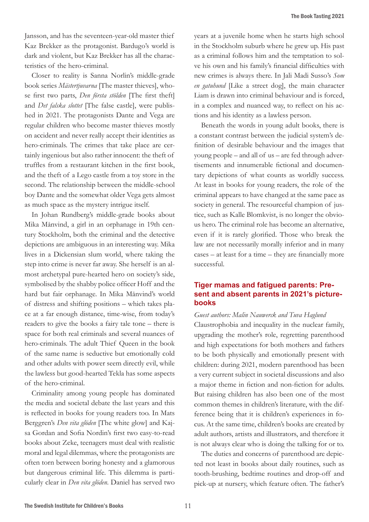Jansson, and has the seventeen-year-old master thief Kaz Brekker as the protagonist. Bardugo's world is dark and violent, but Kaz Brekker has all the characteristics of the hero-criminal.

Closer to reality is Sanna Norlin's middle-grade book series *Mästertjuvarna* [The master thieves], whose first two parts, *Den första stölden* [The first theft] and *Det falska slottet* [The false castle], were published in 2021. The protagonists Dante and Vega are regular children who become master thieves mostly on accident and never really accept their identities as hero-criminals. The crimes that take place are certainly ingenious but also rather innocent: the theft of truffles from a restaurant kitchen in the first book, and the theft of a Lego castle from a toy store in the second. The relationship between the middle-school boy Dante and the somewhat older Vega gets almost as much space as the mystery intrigue itself.

In Johan Rundberg's middle-grade books about Mika Månvind, a girl in an orphanage in 19th century Stockholm, both the criminal and the detective depictions are ambiguous in an interesting way. Mika lives in a Dickensian slum world, where taking the step into crime is never far away. She herself is an almost archetypal pure-hearted hero on society's side, symbolised by the shabby police officer Hoff and the hard but fair orphanage. In Mika Månvind's world of distress and shifting positions – which takes place at a far enough distance, time-wise, from today's readers to give the books a fairy tale tone – there is space for both real criminals and several nuances of hero-criminals. The adult Thief Queen in the book of the same name is seductive but emotionally cold and other adults with power seem directly evil, while the lawless but good-hearted Tekla has some aspects of the hero-criminal.

Criminality among young people has dominated the media and societal debate the last years and this is reflected in books for young readers too. In Mats Berggren's *Den vita glöden* [The white glow] and Kajsa Gordan and Sofia Nordin's first two easy-to-read books about Zeke, teenagers must deal with realistic moral and legal dilemmas, where the protagonists are often torn between boring honesty and a glamorous but dangerous criminal life. This dilemma is particularly clear in *Den vita glöden*. Daniel has served two

years at a juvenile home when he starts high school in the Stockholm suburb where he grew up. His past as a criminal follows him and the temptation to solve his own and his family's financial difficulties with new crimes is always there. In Jali Madi Susso's *Som en gatuhund* [Like a street dog], the main character Liam is drawn into criminal behaviour and is forced, in a complex and nuanced way, to reflect on his actions and his identity as a lawless person.

Beneath the words in young adult books, there is a constant contrast between the judicial system's definition of desirable behaviour and the images that young people – and all of us – are fed through advertisements and innumerable fictional and documentary depictions of what counts as worldly success. At least in books for young readers, the role of the criminal appears to have changed at the same pace as society in general. The resourceful champion of justice, such as Kalle Blomkvist, is no longer the obvious hero. The criminal role has become an alternative, even if it is rarely glorified. Those who break the law are not necessarily morally inferior and in many cases – at least for a time – they are financially more successful.

## **Tiger mamas and fatigued parents: Present and absent parents in 2021's picturebooks**

#### *Guest authors: Malin Nauwerck and Tuva Haglund*

Claustrophobia and inequality in the nuclear family, upgrading the mother's role, regretting parenthood and high expectations for both mothers and fathers to be both physically and emotionally present with children: during 2021, modern parenthood has been a very current subject in societal discussions and also a major theme in fiction and non-fiction for adults. But raising children has also been one of the most common themes in children's literature, with the difference being that it is children's experiences in focus. At the same time, children's books are created by adult authors, artists and illustrators, and therefore it is not always clear who is doing the talking for or to.

The duties and concerns of parenthood are depicted not least in books about daily routines, such as tooth-brushing, bedtime routines and drop-off and pick-up at nursery, which feature often. The father's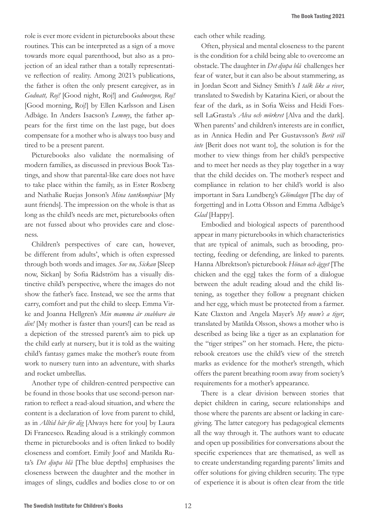role is ever more evident in picturebooks about these routines. This can be interpreted as a sign of a move towards more equal parenthood, but also as a projection of an ideal rather than a totally representative reflection of reality. Among 2021's publications, the father is often the only present caregiver, as in *Godnatt, Roj!* [Good night, Roj!] and *Godmorgon, Roj!*  [Good morning, Roj!] by Ellen Karlsson and Lisen Adbåge. In Anders Isacson's *Lemmy*, the father appears for the first time on the last page, but does compensate for a mother who is always too busy and tired to be a present parent.

Picturebooks also validate the normalising of modern families, as discussed in previous Book Tastings, and show that parental-like care does not have to take place within the family, as in Ester Roxberg and Nathalie Ruejas Jonson's *Mina tantkompisar* [My aunt friends]. The impression on the whole is that as long as the child's needs are met, picturebooks often are not fussed about who provides care and closeness.

Children's perspectives of care can, however, be different from adults', which is often expressed through both words and images. *Sov nu, Sickan* [Sleep now, Sickan] by Sofia Rådström has a visually distinctive child's perspective, where the images do not show the father's face. Instead, we see the arms that carry, comfort and put the child to sleep. Emma Virke and Joanna Hellgren's *Min mamma är snabbare än din!* [My mother is faster than yours!] can be read as a depiction of the stressed parent's aim to pick up the child early at nursery, but it is told as the waiting child's fantasy games make the mother's route from work to nursery turn into an adventure, with sharks and rocket umbrellas.

Another type of children-centred perspective can be found in those books that use second-person narration to reflect a read-aloud situation, and where the content is a declaration of love from parent to child, as in *Alltid här för dig* [Always here for you] by Laura Di Francesco. Reading aloud is a strikingly common theme in picturebooks and is often linked to bodily closeness and comfort. Emily Joof and Matilda Ruta's *Det djupa blå* [The blue depths] emphasises the closeness between the daughter and the mother in images of slings, cuddles and bodies close to or on

each other while reading.

Often, physical and mental closeness to the parent is the condition for a child being able to overcome an obstacle. The daughter in *Det djupa blå* challenges her fear of water, but it can also be about stammering, as in Jordan Scott and Sidney Smith's *I talk like a river*, translated to Swedish by Katarina Kieri, or about the fear of the dark, as in Sofia Weiss and Heidi Forssell LaGrasta's *Alva och mörkret* [Alva and the dark]. When parents' and children's interests are in conflict, as in Annica Hedin and Per Gustavsson's *Berit vill inte* [Berit does not want to], the solution is for the mother to view things from her child's perspective and to meet her needs as they play together in a way that the child decides on. The mother's respect and compliance in relation to her child's world is also important in Sara Lundberg's *Glömdagen* [The day of forgetting] and in Lotta Olsson and Emma Adbåge's *Glad* [Happy].

Embodied and biological aspects of parenthood appear in many picturebooks in which characteristics that are typical of animals, such as brooding, protecting, feeding or defending, are linked to parents. Hanna Albrektson's picturebook *Hönan och ägget* [The chicken and the egg] takes the form of a dialogue between the adult reading aloud and the child listening, as together they follow a pregnant chicken and her egg, which must be protected from a farmer. Kate Claxton and Angela Mayer's *My mum's a tiger*, translated by Matilda Olsson, shows a mother who is described as being like a tiger as an explanation for the "tiger stripes" on her stomach. Here, the picturebook creators use the child's view of the stretch marks as evidence for the mother's strength, which offers the parent breathing room away from society's requirements for a mother's appearance.

There is a clear division between stories that depict children in caring, secure relationships and those where the parents are absent or lacking in caregiving. The latter category has pedagogical elements all the way through it. The authors want to educate and open up possibilities for conversations about the specific experiences that are thematised, as well as to create understanding regarding parents' limits and offer solutions for giving children security. The type of experience it is about is often clear from the title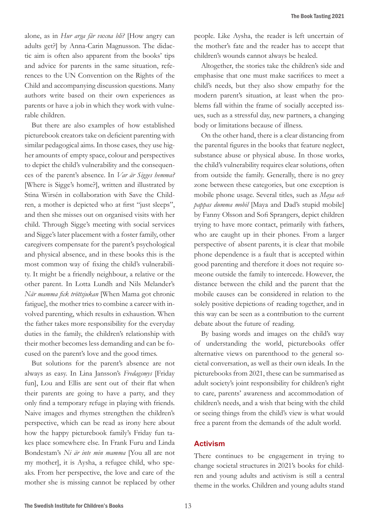alone, as in *Hur arga får vuxna bli?* [How angry can adults get?] by Anna-Carin Magnusson. The didactic aim is often also apparent from the books' tips and advice for parents in the same situation, references to the UN Convention on the Rights of the Child and accompanying discussion questions. Many authors write based on their own experiences as parents or have a job in which they work with vulnerable children.

But there are also examples of how established picturebook creators take on deficient parenting with similar pedagogical aims. In those cases, they use higher amounts of empty space, colour and perspectives to depict the child's vulnerability and the consequences of the parent's absence. In *Var är Sigges hemma?* [Where is Sigge's home?], written and illustrated by Stina Wirsén in collaboration with Save the Children, a mother is depicted who at first "just sleeps", and then she misses out on organised visits with her child. Through Sigge's meeting with social services and Sigge's later placement with a foster family, other caregivers compensate for the parent's psychological and physical absence, and in these books this is the most common way of fixing the child's vulnerability. It might be a friendly neighbour, a relative or the other parent. In Lotta Lundh and Nils Melander's *När mamma fick tröttsjukan* [When Mama got chronic fatigue], the mother tries to combine a career with involved parenting, which results in exhaustion. When the father takes more responsibility for the everyday duties in the family, the children's relationship with their mother becomes less demanding and can be focused on the parent's love and the good times.

But solutions for the parent's absence are not always as easy. In Lina Jansson's *Fredagsmys* [Friday fun], Lou and Ellis are sent out of their flat when their parents are going to have a party, and they only find a temporary refuge in playing with friends. Naive images and rhymes strengthen the children's perspective, which can be read as irony here about how the happy picturebook family's Friday fun takes place somewhere else. In Frank Furu and Linda Bondestam's *Ni är inte min mamma* [You all are not my mother], it is Aysha, a refugee child, who speaks. From her perspective, the love and care of the mother she is missing cannot be replaced by other

people. Like Aysha, the reader is left uncertain of the mother's fate and the reader has to accept that children's wounds cannot always be healed.

Altogether, the stories take the children's side and emphasise that one must make sacrifices to meet a child's needs, but they also show empathy for the modern parent's situation, at least when the problems fall within the frame of socially accepted issues, such as a stressful day, new partners, a changing body or limitations because of illness.

On the other hand, there is a clear distancing from the parental figures in the books that feature neglect, substance abuse or physical abuse. In those works, the child's vulnerability requires clear solutions, often from outside the family. Generally, there is no grey zone between these categories, but one exception is mobile phone usage. Several titles, such as *Maya och pappas dumma mobil* [Maya and Dad's stupid mobile] by Fanny Olsson and Sofi Sprangers, depict children trying to have more contact, primarily with fathers, who are caught up in their phones. From a larger perspective of absent parents, it is clear that mobile phone dependence is a fault that is accepted within good parenting and therefore it does not require someone outside the family to intercede. However, the distance between the child and the parent that the mobile causes can be considered in relation to the solely positive depictions of reading together, and in this way can be seen as a contribution to the current debate about the future of reading.

By basing words and images on the child's way of understanding the world, picturebooks offer alternative views on parenthood to the general societal conversation, as well as their own ideals. In the picturebooks from 2021, these can be summarised as adult society's joint responsibility for children's right to care, parents' awareness and accommodation of children's needs, and a wish that being with the child or seeing things from the child's view is what would free a parent from the demands of the adult world.

#### **Activism**

There continues to be engagement in trying to change societal structures in 2021's books for children and young adults and activism is still a central theme in the works. Children and young adults stand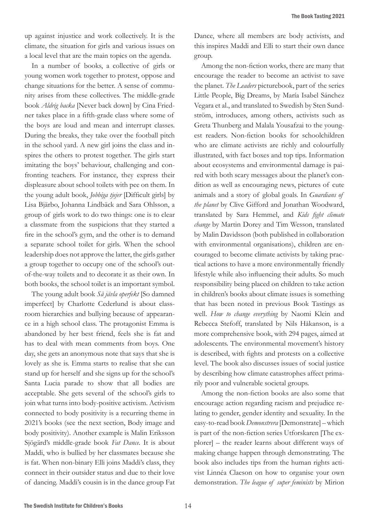up against injustice and work collectively. It is the climate, the situation for girls and various issues on a local level that are the main topics on the agenda.

In a number of books, a collective of girls or young women work together to protest, oppose and change situations for the better. A sense of community arises from these collectives. The middle-grade book *Aldrig backa* [Never back down] by Cina Friedner takes place in a fifth-grade class where some of the boys are loud and mean and interrupt classes. During the breaks, they take over the football pitch in the school yard. A new girl joins the class and inspires the others to protest together. The girls start imitating the boys' behaviour, challenging and confronting teachers. For instance, they express their displeasure about school toilets with pee on them. In the young adult book, *Jobbiga tjejer* [Difficult girls] by Lisa Bjärbo, Johanna Lindbäck and Sara Ohlsson, a group of girls work to do two things: one is to clear a classmate from the suspicions that they started a fire in the school's gym, and the other is to demand a separate school toilet for girls. When the school leadership does not approve the latter, the girls gather a group together to occupy one of the school's outof-the-way toilets and to decorate it as their own. In both books, the school toilet is an important symbol.

The young adult book *Så jävla operfekt* [So damned imperfect] by Charlotte Cederlund is about classroom hierarchies and bullying because of appearance in a high school class. The protagonist Emma is abandoned by her best friend, feels she is fat and has to deal with mean comments from boys. One day, she gets an anonymous note that says that she is lovely as she is. Emma starts to realise that she can stand up for herself and she signs up for the school's Santa Lucia parade to show that all bodies are acceptable. She gets several of the school's girls to join what turns into body-positive activism. Activism connected to body positivity is a recurring theme in 2021's books (see the next section, Body image and body positivity). Another example is Malin Eriksson Sjögärd's middle-grade book *Fat Dance*. It is about Maddi, who is bullied by her classmates because she is fat. When non-binary Elli joins Maddi's class, they connect in their outsider status and due to their love of dancing. Maddi's cousin is in the dance group Fat

Dance, where all members are body activists, and this inspires Maddi and Elli to start their own dance group.

Among the non-fiction works, there are many that encourage the reader to become an activist to save the planet. *The Leaders* picturebook, part of the series Little People, Big Dreams, by María Isabel Sánchez Vegara et al., and translated to Swedish by Sten Sundström, introduces, among others, activists such as Greta Thunberg and Malala Yousafzai to the youngest readers. Non-fiction books for schoolchildren who are climate activists are richly and colourfully illustrated, with fact boxes and top tips. Information about ecosystems and environmental damage is paired with both scary messages about the planet's condition as well as encouraging news, pictures of cute animals and a story of global goals. In *Guardians of the planet* by Clive Gifford and Jonathan Woodward, translated by Sara Hemmel, and *Kids fight climate change* by Martin Dorey and Tim Wesson, translated by Malin Davidsson (both published in collaboration with environmental organisations), children are encouraged to become climate activists by taking practical actions to have a more environmentally friendly lifestyle while also influencing their adults. So much responsibility being placed on children to take action in children's books about climate issues is something that has been noted in previous Book Tastings as well. *How to change everything* by Naomi Klein and Rebecca Stefoff, translated by Nils Håkanson, is a more comprehensive book, with 294 pages, aimed at adolescents. The environmental movement's history is described, with fights and protests on a collective level. The book also discusses issues of social justice by describing how climate catastrophes affect primarily poor and vulnerable societal groups.

Among the non-fiction books are also some that encourage action regarding racism and prejudice relating to gender, gender identity and sexuality. In the easy-to-read book *Demonstrera* [Demonstrate] – which is part of the non-fiction series Utforskaren [The explorer] – the reader learns about different ways of making change happen through demonstrating. The book also includes tips from the human rights activist Linnéa Claeson on how to organise your own demonstration. *The league of super feminists* by Mirion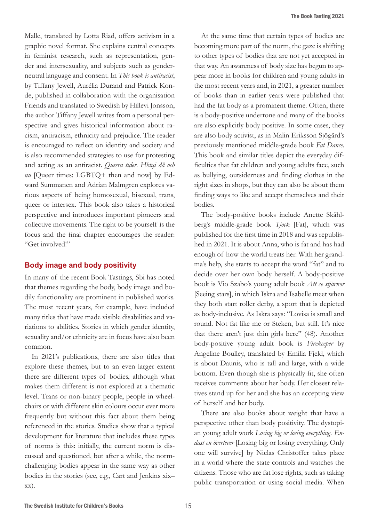Malle, translated by Lotta Riad, offers activism in a graphic novel format. She explains central concepts in feminist research, such as representation, gender and intersexuality, and subjects such as genderneutral language and consent. In *This book is antiracist*, by Tiffany Jewell, Aurélia Durand and Patrick Konde, published in collaboration with the organisation Friends and translated to Swedish by Hillevi Jonsson, the author Tiffany Jewell writes from a personal perspective and gives historical information about racism, antiracism, ethnicity and prejudice. The reader is encouraged to reflect on identity and society and is also recommended strategies to use for protesting and acting as an antiracist. *Queera tider*. *Hbtqi då och nu* [Queer times: LGBTQ+ then and now] by Edward Summanen and Adrian Malmgren explores various aspects of being homosexual, bisexual, trans, queer or intersex. This book also takes a historical perspective and introduces important pioneers and collective movements. The right to be yourself is the focus and the final chapter encourages the reader: "Get involved!"

#### **Body image and body positivity**

In many of the recent Book Tastings, Sbi has noted that themes regarding the body, body image and bodily functionality are prominent in published works. The most recent years, for example, have included many titles that have made visible disabilities and variations to abilities. Stories in which gender identity, sexuality and/or ethnicity are in focus have also been common.

In 2021's publications, there are also titles that explore these themes, but to an even larger extent there are different types of bodies, although what makes them different is not explored at a thematic level. Trans or non-binary people, people in wheelchairs or with different skin colours occur ever more frequently but without this fact about them being referenced in the stories. Studies show that a typical development for literature that includes these types of norms is this: initially, the current norm is discussed and questioned, but after a while, the normchallenging bodies appear in the same way as other bodies in the stories (see, e.g., Cart and Jenkins xix– xx).

At the same time that certain types of bodies are becoming more part of the norm, the gaze is shifting to other types of bodies that are not yet accepted in that way. An awareness of body size has begun to appear more in books for children and young adults in the most recent years and, in 2021, a greater number of books than in earlier years were published that had the fat body as a prominent theme. Often, there is a body-positive undertone and many of the books are also explicitly body positive. In some cases, they are also body activist, as in Malin Eriksson Sjögärd's previously mentioned middle-grade book *Fat Dance*. This book and similar titles depict the everyday difficulties that fat children and young adults face, such as bullying, outsiderness and finding clothes in the right sizes in shops, but they can also be about them finding ways to like and accept themselves and their bodies.

The body-positive books include Anette Skåhlberg's middle-grade book *Tjock* [Fat], which was published for the first time in 2018 and was republished in 2021. It is about Anna, who is fat and has had enough of how the world treats her. With her grandma's help, she starts to accept the word "fat" and to decide over her own body herself. A body-positive book is Vio Szabo's young adult book *Att se stjärnor*  [Seeing stars], in which Iskra and Isabelle meet when they both start roller derby, a sport that is depicted as body-inclusive. As Iskra says: "Lovisa is small and round. Not fat like me or Steken, but still. It's nice that there aren't just thin girls here" (48). Another body-positive young adult book is *Firekeeper* by Angeline Boulley, translated by Emilia Fjeld, which is about Daunis, who is tall and large, with a wide bottom. Even though she is physically fit, she often receives comments about her body. Her closest relatives stand up for her and she has an accepting view of herself and her body.

There are also books about weight that have a perspective other than body positivity. The dystopian young adult work *Losing big or losing everything. Endast en överlever* [Losing big or losing everything. Only one will survive] by Niclas Christoffer takes place in a world where the state controls and watches the citizens. Those who are fat lose rights, such as taking public transportation or using social media. When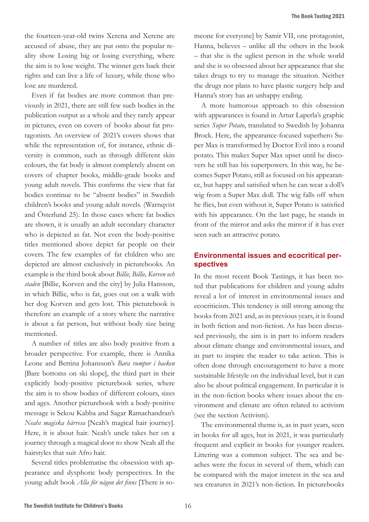the fourteen-year-old twins Xerena and Xerene are accused of abuse, they are put onto the popular reality show Losing big or losing everything, where the aim is to lose weight. The winner gets back their rights and can live a life of luxury, while those who lose are murdered.

Even if fat bodies are more common than previously in 2021, there are still few such bodies in the publication output as a whole and they rarely appear in pictures, even on covers of books about fat protagonists. An overview of 2021's covers shows that while the representation of, for instance, ethnic diversity is common, such as through different skin colours, the fat body is almost completely absent on covers of chapter books, middle-grade books and young adult novels. This confirms the view that fat bodies continue to be "absent bodies" in Swedish children's books and young adult novels. (Warnqvist and Österlund 25). In those cases where fat bodies are shown, it is usually an adult secondary character who is depicted as fat. Not even the body-positive titles mentioned above depict fat people on their covers. The few examples of fat children who are depicted are almost exclusively in picturebooks. An example is the third book about *Billie, Billie, Korven och staden* [Billie, Korven and the city] by Julia Hansson, in which Billie, who is fat, goes out on a walk with her dog Korven and gets lost. This picturebook is therefore an example of a story where the narrative is about a fat person, but without body size being mentioned.

A number of titles are also body positive from a broader perspective. For example, there is Annika Leone and Bettina Johansson's *Bara rumpor i backen*  [Bare bottoms on ski slope], the third part in their explicitly body-positive picturebook series, where the aim is to show bodies of different colours, sizes and ages. Another picturebook with a body-positive message is Sekou Kabba and Sagar Ramachandran's *Neahs magiska hårresa* [Neah's magical hair journey]. Here, it is about hair. Neah's uncle takes her on a journey through a magical door to show Neah all the hairstyles that suit Afro hair.

Several titles problematise the obsession with appearance and dysphoric body perspectives. In the young adult book *Alla för någon det finns* [There is so-

meone for everyone] by Samir VII, one protagonist, Hanna, believes – unlike all the others in the book – that she is the ugliest person in the whole world and she is so obsessed about her appearance that she takes drugs to try to manage the situation. Neither the drugs nor plans to have plastic surgery help and Hanna's story has an unhappy ending.

A more humorous approach to this obsession with appearances is found in Artur Laperla's graphic series *Super Potato*, translated to Swedish by Johanna Brock. Here, the appearance-focused superhero Super Max is transformed by Doctor Evil into a round potato. This makes Super Max upset until he discovers he still has his superpowers. In this way, he becomes Super Potato, still as focused on his appearance, but happy and satisfied when he can wear a doll's wig from a Super Max doll. The wig falls off when he flies, but even without it, Super Potato is satisfied with his appearance. On the last page, he stands in front of the mirror and asks the mirror if it has ever seen such an attractive potato.

# **Environmental issues and ecocritical perspectives**

In the most recent Book Tastings, it has been noted that publications for children and young adults reveal a lot of interest in environmental issues and ecocriticism. This tendency is still strong among the books from 2021 and, as in previous years, it is found in both fiction and non-fiction. As has been discussed previously, the aim is in part to inform readers about climate change and environmental issues, and in part to inspire the reader to take action. This is often done through encouragement to have a more sustainable lifestyle on the individual level, but it can also be about political engagement. In particular it is in the non-fiction books where issues about the environment and climate are often related to activism (see the section Activism).

The environmental theme is, as in past years, seen in books for all ages, but in 2021, it was particularly frequent and explicit in books for younger readers. Littering was a common subject. The sea and beaches were the focus in several of them, which can be compared with the major interest in the sea and sea creatures in 2021's non-fiction. In picturebooks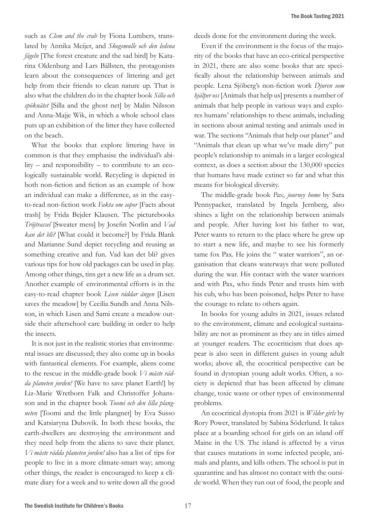such as *Clem and the crab* by Fiona Lumbers, translated by Annika Meijer, and *Skogsmulle och den ledsna fågeln* [The forest creature and the sad bird] by Katarina Oldenburg and Lars Bällsten, the protagonists learn about the consequences of littering and get help from their friends to clean nature up. That is also what the children do in the chapter book *Silla och spöknätet* [Silla and the ghost net] by Malin Nilsson and Anna-Majje Wik, in which a whole school class puts up an exhibition of the litter they have collected on the beach.

What the books that explore littering have in common is that they emphasise the individual's ability – and responsibility – to contribute to an ecologically sustainable world. Recycling is depicted in both non-fiction and fiction as an example of how an individual can make a difference, as in the easyto-read non-fiction work *Fakta om sopor* [Facts about trash] by Frida Bejder Klausen. The picturebooks *Tröjtrassel* [Sweater mess] by Josefin Norlin and *Vad kan det bli?* [What could it become?] by Frida Blank and Marianne Sund depict recycling and reusing as something creative and fun. Vad kan det bli? gives various tips for how old packages can be used in play. Among other things, tins get a new life as a drum set. Another example of environmental efforts is in the easy-to-read chapter book *Lisen räddar ängen* [Lisen saves the meadow] by Cecilia Sundh and Anna Nilsson, in which Lisen and Sami create a meadow outside their afterschool care building in order to help the insects.

It is not just in the realistic stories that environmental issues are discussed; they also come up in books with fantastical elements. For example, aliens come to the rescue in the middle-grade book *Vi måste rädda planeten jorden!* [We have to save planet Earth!] by Liz-Marie Wretborn Falk and Christoffer Johansson and in the chapter book *Toomi och den lilla plangneten* [Toomi and the little plangnet] by Eva Susso and Katsiaryna Dubovik. In both these books, the earth-dwellers are destroying the environment and they need help from the aliens to save their planet. *Vi måste rädda planeten jorden!* also has a list of tips for people to live in a more climate-smart way; among other things, the reader is encouraged to keep a climate diary for a week and to write down all the good

deeds done for the environment during the week.

Even if the environment is the focus of the majority of the books that have an eco-critical perspective in 2021, there are also some books that are specifically about the relationship between animals and people. Lena Sjöberg's non-fiction work *Djuren som hjälper oss* [Animals that help us] presents a number of animals that help people in various ways and explores humans' relationships to these animals, including in sections about animal testing and animals used in war. The sections "Animals that help our planet" and "Animals that clean up what we've made dirty" put people's relationship to animals in a larger ecological context, as does a section about the 130,000 species that humans have made extinct so far and what this means for biological diversity.

The middle-grade book *Pax, journey home* by Sara Pennypacker, translated by Ingela Jernberg, also shines a light on the relationship between animals and people. After having lost his father to war, Peter wants to return to the place where he grew up to start a new life, and maybe to see his formerly tame fox Pax. He joins the " water warriors", an organisation that cleans waterways that were polluted during the war. His contact with the water warriors and with Pax, who finds Peter and trusts him with his cub, who has been poisoned, helps Peter to have the courage to relate to others again.

In books for young adults in 2021, issues related to the environment, climate and ecological sustainability are not as prominent as they are in titles aimed at younger readers. The ecocriticism that does appear is also seen in different guises in young adult works; above all, the ecocritical perspective can be found in dystopian young adult works. Often, a society is depicted that has been affected by climate change, toxic waste or other types of environmental problems.

An ecocritical dystopia from 2021 is *Wilder girls* by Rory Power, translated by Sabina Söderlund. It takes place at a boarding school for girls on an island off Maine in the US. The island is affected by a virus that causes mutations in some infected people, animals and plants, and kills others. The school is put in quarantine and has almost no contact with the outside world. When they run out of food, the people and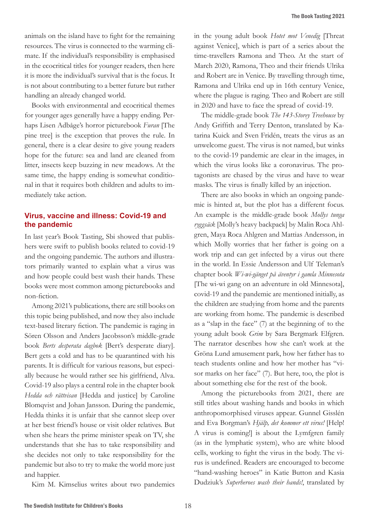animals on the island have to fight for the remaining resources. The virus is connected to the warming climate. If the individual's responsibility is emphasised in the ecocritical titles for younger readers, then here it is more the individual's survival that is the focus. It is not about contributing to a better future but rather handling an already changed world.

Books with environmental and ecocritical themes for younger ages generally have a happy ending. Perhaps Lisen Adbåge's horror picturebook *Furan* [The pine tree] is the exception that proves the rule. In general, there is a clear desire to give young readers hope for the future: sea and land are cleaned from litter, insects keep buzzing in new meadows. At the same time, the happy ending is somewhat conditional in that it requires both children and adults to immediately take action.

# **Virus, vaccine and illness: Covid-19 and the pandemic**

In last year's Book Tasting, Sbi showed that publishers were swift to publish books related to covid-19 and the ongoing pandemic. The authors and illustrators primarily wanted to explain what a virus was and how people could best wash their hands. These books were most common among picturebooks and non-fiction.

Among 2021's publications, there are still books on this topic being published, and now they also include text-based literary fiction. The pandemic is raging in Sören Olsson and Anders Jacobsson's middle-grade book *Berts desperata dagbok* [Bert's desperate diary]. Bert gets a cold and has to be quarantined with his parents. It is difficult for various reasons, but especially because he would rather see his girlfriend, Alva. Covid-19 also plays a central role in the chapter book *Hedda och rättvisan* [Hedda and justice] by Caroline Blomqvist and Johan Jansson. During the pandemic, Hedda thinks it is unfair that she cannot sleep over at her best friend's house or visit older relatives. But when she hears the prime minister speak on TV, she understands that she has to take responsibility and she decides not only to take responsibility for the pandemic but also to try to make the world more just and happier.

Kim M. Kimselius writes about two pandemics

in the young adult book *Hotet mot Venedig* [Threat against Venice], which is part of a series about the time-travellers Ramona and Theo. At the start of March 2020, Ramona, Theo and their friends Ulrika and Robert are in Venice. By travelling through time, Ramona and Ulrika end up in 16th century Venice, where the plague is raging. Theo and Robert are still in 2020 and have to face the spread of covid-19.

The middle-grade book *The 143-Storey Treehouse* by Andy Griffith and Terry Denton, translated by Katarina Kuick and Sven Fridén, treats the virus as an unwelcome guest. The virus is not named, but winks to the covid-19 pandemic are clear in the images, in which the virus looks like a coronavirus. The protagonists are chased by the virus and have to wear masks. The virus is finally killed by an injection.

There are also books in which an ongoing pandemic is hinted at, but the plot has a different focus. An example is the middle-grade book *Mollys tunga ryggsäck* [Molly's heavy backpack] by Malin Roca Ahlgren, Maya Roca Ahlgren and Mattias Andersson, in which Molly worries that her father is going on a work trip and can get infected by a virus out there in the world. In Essie Andersson and Ulf Teleman's chapter book *Wi-wi-gänget på äventyr i gamla Minnesota* [The wi-wi gang on an adventure in old Minnesota], covid-19 and the pandemic are mentioned initially, as the children are studying from home and the parents are working from home. The pandemic is described as a "slap in the face" (7) at the beginning of to the young adult book *Grim* by Sara Bergmark Elfgren. The narrator describes how she can't work at the Gröna Lund amusement park, how her father has to teach students online and how her mother has "visor marks on her face" (7). But here, too, the plot is about something else for the rest of the book.

Among the picturebooks from 2021, there are still titles about washing hands and books in which anthropomorphised viruses appear. Gunnel Gisslén and Eva Borgman's *Hjälp, det kommer ett virus!* [Help! A virus is coming!] is about the Lymfgren family (as in the lymphatic system), who are white blood cells, working to fight the virus in the body. The virus is undefined. Readers are encouraged to become "hand-washing heroes" in Katie Button and Kasia Dudziuk's *Superheroes wash their hands!*, translated by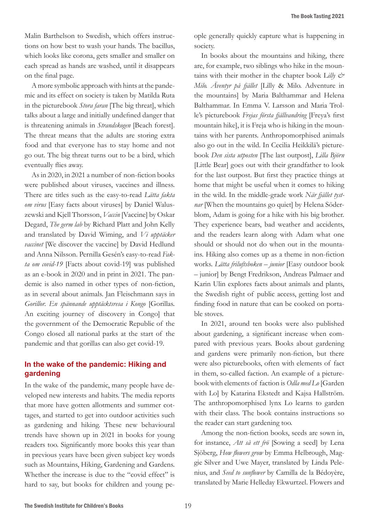Malin Barthelson to Swedish, which offers instructions on how best to wash your hands. The bacillus, which looks like corona, gets smaller and smaller on each spread as hands are washed, until it disappears on the final page.

A more symbolic approach with hints at the pandemic and its effect on society is taken by Matilda Ruta in the picturebook *Stora faran* [The big threat], which talks about a large and initially undefined danger that is threatening animals in *Strandskogen* [Beach forest]. The threat means that the adults are storing extra food and that everyone has to stay home and not go out. The big threat turns out to be a bird, which eventually flies away.

As in 2020, in 2021 a number of non-fiction books were published about viruses, vaccines and illness. There are titles such as the easy-to-read *Lätta fakta om virus* [Easy facts about viruses] by Daniel Waluszewski and Kjell Thorsson, *Vaccin* [Vaccine] by Oskar Degard, *The germ lab* by Richard Platt and John Kelly and translated by David Wiming, and *Vi upptäcker vaccinet* [We discover the vaccine] by David Hedlund and Anna Nilsson. Pernilla Gesén's easy-to-read *Fakta om covid-19* [Facts about covid-19] was published as an e-book in 2020 and in print in 2021. The pandemic is also named in other types of non-fiction, as in several about animals. Jan Fleischmann says in *Gorillor. En spännande upptäcktsresa i Kongo* [Gorillas. An exciting journey of discovery in Congo] that the government of the Democratic Republic of the Congo closed all national parks at the start of the pandemic and that gorillas can also get covid-19.

## **In the wake of the pandemic: Hiking and gardening**

In the wake of the pandemic, many people have developed new interests and habits. The media reports that more have gotten allotments and summer cottages, and started to get into outdoor activities such as gardening and hiking. These new behavioural trends have shown up in 2021 in books for young readers too. Significantly more books this year than in previous years have been given subject key words such as Mountains, Hiking, Gardening and Gardens. Whether the increase is due to the "covid effect" is hard to say, but books for children and young pe-

ople generally quickly capture what is happening in society.

In books about the mountains and hiking, there are, for example, two siblings who hike in the mountains with their mother in the chapter book L*illy & Milo. Äventyr på fjället* [Lilly & Milo. Adventure in the mountains] by Maria Balthammar and Helena Balthammar. In Emma V. Larsson and Maria Trolle's picturebook *Frejas första fjällvandring* [Freya's first mountain hike], it is Freja who is hiking in the mountains with her parents. Anthropomorphised animals also go out in the wild. In Cecilia Heikkilä's picturebook *Den sista utposten* [The last outpost], *Lilla Björn* [Little Bear] goes out with their grandfather to look for the last outpost. But first they practice things at home that might be useful when it comes to hiking in the wild. In the middle-grade work *När fjället tystnar* [When the mountains go quiet] by Helena Söderblom, Adam is going for a hike with his big brother. They experience bears, bad weather and accidents, and the readers learn along with Adam what one should or should not do when out in the mountains. Hiking also comes up as a theme in non-fiction works. *Lätta friluftsboken – junior* [Easy outdoor book – junior] by Bengt Fredrikson, Andreas Palmaer and Karin Ulin explores facts about animals and plants, the Swedish right of public access, getting lost and finding food in nature that can be cooked on portable stoves.

In 2021, around ten books were also published about gardening, a significant increase when compared with previous years. Books about gardening and gardens were primarily non-fiction, but there were also picturebooks, often with elements of fact in them, so-called faction. An example of a picturebook with elements of faction is *Odla med Lo* [Garden with Lo] by Katarina Ekstedt and Kajsa Hallström. The anthropomorphised lynx Lo learns to garden with their class. The book contains instructions so the reader can start gardening too.

Among the non-fiction books, seeds are sown in, for instance, *Att så ett frö* [Sowing a seed] by Lena Sjöberg, *How flowers grow* by Emma Helbrough, Maggie Silver and Uwe Mayer, translated by Linda Pelenius, and *Seed to sunflower* by Camilla de la Bédoyère, translated by Marie Helleday Ekwurtzel. Flowers and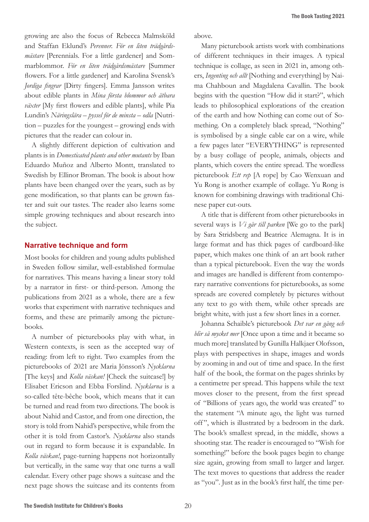growing are also the focus of Rebecca Malmsköld and Staffan Eklund's *Perenner. För en liten trädgårdsmästare* [Perennials. For a little gardener] and Sommarblommor. *För en liten trädgårdsmästare* [Summer flowers. For a little gardener] and Karolina Svensk's *Jordiga fingrar* [Dirty fingers]. Emma Jansson writes about edible plants in *Mina första blommor och ätbara växter* [My first flowers and edible plants], while Pia Lundin's *Näringslära – pyssel för de minsta – odla* [Nutrition – puzzles for the youngest – growing] ends with pictures that the reader can colour in.

A slightly different depiction of cultivation and plants is in *Domesticated plants and other mutants* by Iban Eduardo Muñoz and Alberto Montt, translated to Swedish by Ellinor Broman. The book is about how plants have been changed over the years, such as by gene modification, so that plants can be grown faster and suit our tastes. The reader also learns some simple growing techniques and about research into the subject.

#### **Narrative technique and form**

Most books for children and young adults published in Sweden follow similar, well-established formulae for narratives. This means having a linear story told by a narrator in first- or third-person. Among the publications from 2021 as a whole, there are a few works that experiment with narrative techniques and forms, and these are primarily among the picturebooks.

A number of picturebooks play with what, in Western contexts, is seen as the accepted way of reading: from left to right. Two examples from the picturebooks of 2021 are Maria Jönsson's *Nycklarna*  [The keys] and *Kolla väskan!* [Check the suitcase!] by Elisabet Ericson and Ebba Forslind. *Nycklarna* is a so-called tête-bêche book, which means that it can be turned and read from two directions. The book is about Nahid and Castor, and from one direction, the story is told from Nahid's perspective, while from the other it is told from Castor's. *Nycklarna* also stands out in regard to form because it is expandable. In *Kolla väskan!*, page-turning happens not horizontally but vertically, in the same way that one turns a wall calendar. Every other page shows a suitcase and the next page shows the suitcase and its contents from

above.

Many picturebook artists work with combinations of different techniques in their images. A typical technique is collage, as seen in 2021 in, among others, *Ingenting och allt* [Nothing and everything] by Naima Chahboun and Magdalena Cavallin. The book begins with the question "How did it start?", which leads to philosophical explorations of the creation of the earth and how Nothing can come out of Something. On a completely black spread, "Nothing" is symbolised by a single cable car on a wire, while a few pages later "EVERYTHING" is represented by a busy collage of people, animals, objects and plants, which covers the entire spread. The wordless picturebook *Ett rep* [A rope] by Cao Wenxuan and Yu Rong is another example of collage. Yu Rong is known for combining drawings with traditional Chinese paper cut-outs.

A title that is different from other picturebooks in several ways is *Vi går till parken* [We go to the park] by Sara Stridsberg and Beatrice Alemagna. It is in large format and has thick pages of cardboard-like paper, which makes one think of an art book rather than a typical picturebook. Even the way the words and images are handled is different from contemporary narrative conventions for picturebooks, as some spreads are covered completely by pictures without any text to go with them, while other spreads are bright white, with just a few short lines in a corner.

Johanna Schaible's picturebook *Det var en gång och blir så mycket mer* [Once upon a time and it became so much more] translated by Gunilla Halkjaer Olofsson, plays with perspectives in shape, images and words by zooming in and out of time and space. In the first half of the book, the format on the pages shrinks by a centimetre per spread. This happens while the text moves closer to the present, from the first spread of "Billions of years ago, the world was created" to the statement "A minute ago, the light was turned off ", which is illustrated by a bedroom in the dark. The book's smallest spread, in the middle, shows a shooting star. The reader is encouraged to "Wish for something!" before the book pages begin to change size again, growing from small to larger and larger. The text moves to questions that address the reader as "you". Just as in the book's first half, the time per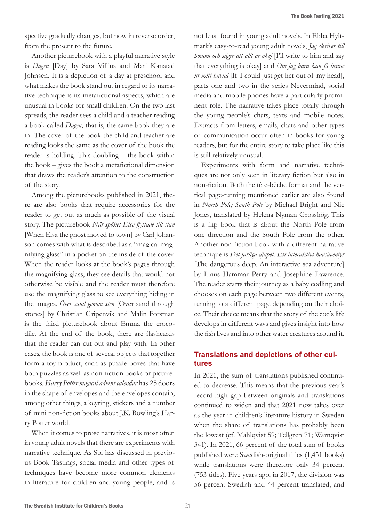spective gradually changes, but now in reverse order, from the present to the future.

Another picturebook with a playful narrative style is *Dagen* [Day] by Sara Villius and Mari Kanstad Johnsen. It is a depiction of a day at preschool and what makes the book stand out in regard to its narrative technique is its metafictional aspects, which are unusual in books for small children. On the two last spreads, the reader sees a child and a teacher reading a book called *Dagen*, that is, the same book they are in. The cover of the book the child and teacher are reading looks the same as the cover of the book the reader is holding. This doubling – the book within the book – gives the book a metafictional dimension that draws the reader's attention to the construction of the story.

Among the picturebooks published in 2021, there are also books that require accessories for the reader to get out as much as possible of the visual story. The picturebook *När spöket Elsa flyttade till stan*  [When Elsa the ghost moved to town] by Carl Johanson comes with what is described as a "magical magnifying glass" in a pocket on the inside of the cover. When the reader looks at the book's pages through the magnifying glass, they see details that would not otherwise be visible and the reader must therefore use the magnifying glass to see everything hiding in the images. *Över sand genom sten* [Over sand through stones] by Christian Gripenvik and Malin Forsman is the third picturebook about Emma the crocodile. At the end of the book, there are flashcards that the reader can cut out and play with. In other cases, the book is one of several objects that together form a toy product, such as puzzle boxes that have both puzzles as well as non-fiction books or picturebooks. *Harry Potter magical advent calendar* has 25 doors in the shape of envelopes and the envelopes contain, among other things, a keyring, stickers and a number of mini non-fiction books about J.K. Rowling's Harry Potter world.

When it comes to prose narratives, it is most often in young adult novels that there are experiments with narrative technique. As Sbi has discussed in previous Book Tastings, social media and other types of techniques have become more common elements in literature for children and young people, and is

not least found in young adult novels. In Ebba Hyltmark's easy-to-read young adult novels, *Jag skriver till honom och säger att allt är okej* [I'll write to him and say that everything is okay] and *Om jag bara kan få henne ur mitt huvud* [If I could just get her out of my head], parts one and two in the series Nevermind, social media and mobile phones have a particularly prominent role. The narrative takes place totally through the young people's chats, texts and mobile notes. Extracts from letters, emails, chats and other types of communication occur often in books for young readers, but for the entire story to take place like this is still relatively unusual.

Experiments with form and narrative techniques are not only seen in literary fiction but also in non-fiction. Both the tête-bêche format and the vertical page-turning mentioned earlier are also found in *North Pole; South Pole* by Michael Bright and Nic Jones, translated by Helena Nyman Grosshög. This is a flip book that is about the North Pole from one direction and the South Pole from the other. Another non-fiction book with a different narrative technique is *Det farliga djupet. Ett interaktivt havsäventyr*  [The dangerous deep. An interactive sea adventure] by Linus Hammar Perry and Josephine Lawrence. The reader starts their journey as a baby codling and chooses on each page between two different events, turning to a different page depending on their choice. Their choice means that the story of the cod's life develops in different ways and gives insight into how the fish lives and into other water creatures around it.

## **Translations and depictions of other cultures**

In 2021, the sum of translations published continued to decrease. This means that the previous year's record-high gap between originals and translations continued to widen and that 2021 now takes over as the year in children's literature history in Sweden when the share of translations has probably been the lowest (cf. Mählqvist 59; Tellgren 71; Warnqvist 341). In 2021, 66 percent of the total sum of books published were Swedish-original titles (1,451 books) while translations were therefore only 34 percent (753 titles). Five years ago, in 2017, the division was 56 percent Swedish and 44 percent translated, and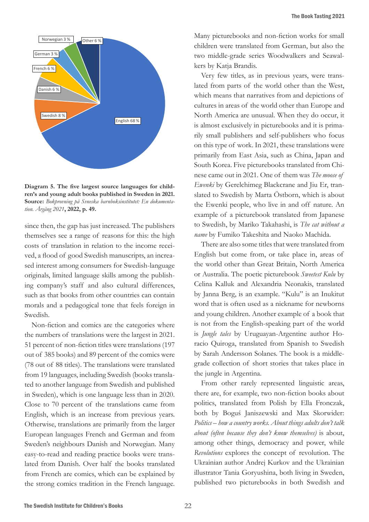

**Diagram 5. The five largest source languages for children's and young adult books published in Sweden in 2021. Source:** *Bokprovning på Svneska barnboksinstitutet: En dokumentation. Årgång 2021***, 2022, p. 49.**

since then, the gap has just increased. The publishers themselves see a range of reasons for this: the high costs of translation in relation to the income received, a flood of good Swedish manuscripts, an increased interest among consumers for Swedish-language originals, limited language skills among the publishing company's staff and also cultural differences, such as that books from other countries can contain morals and a pedagogical tone that feels foreign in Swedish.

Non-fiction and comics are the categories where the numbers of translations were the largest in 2021. 51 percent of non-fiction titles were translations (197 out of 385 books) and 89 percent of the comics were (78 out of 88 titles). The translations were translated from 19 languages, including Swedish (books translated to another language from Swedish and published in Sweden), which is one language less than in 2020. Close to 70 percent of the translations came from English, which is an increase from previous years. Otherwise, translations are primarily from the larger European languages French and German and from Sweden's neighbours Danish and Norwegian. Many easy-to-read and reading practice books were translated from Danish. Over half the books translated from French are comics, which can be explained by the strong comics tradition in the French language.

Many picturebooks and non-fiction works for small children were translated from German, but also the two middle-grade series Woodwalkers and Seawalkers by Katja Brandis.

Very few titles, as in previous years, were translated from parts of the world other than the West, which means that narratives from and depictions of cultures in areas of the world other than Europe and North America are unusual. When they do occur, it is almost exclusively in picturebooks and it is primarily small publishers and self-publishers who focus on this type of work. In 2021, these translations were primarily from East Asia, such as China, Japan and South Korea. Five picturebooks translated from Chinese came out in 2021. One of them was *The moose of Ewenki* by Gerelchimeg Blackcrane and Jiu Er, translated to Swedish by Marta Östborn, which is about the Ewenki people, who live in and off nature. An example of a picturebook translated from Japanese to Swedish, by Mariko Takahashi, is *The cat without a name* by Fumiko Takeshita and Naoko Machida.

There are also some titles that were translated from English but come from, or take place in, areas of the world other than Great Britain, North America or Australia. The poetic picturebook *Sweetest Kulu* by Celina Kalluk and Alexandria Neonakis, translated by Janna Berg, is an example. "Kulu" is an Inukitut word that is often used as a nickname for newborns and young children. Another example of a book that is not from the English-speaking part of the world is *Jungle tales* by Uruguayan-Argentine author Horacio Quiroga, translated from Spanish to Swedish by Sarah Andersson Solanes. The book is a middlegrade collection of short stories that takes place in the jungle in Argentina.

From other rarely represented linguistic areas, there are, for example, two non-fiction books about politics, translated from Polish by Ella Fronczak, both by Boguś Janiszewski and Max Skorwider: *Politics – how a country works. About things adults don't talk about (often because they don't know themselves)* is about, among other things, democracy and power, while *Revolutions* explores the concept of revolution. The Ukrainian author Andrej Kurkov and the Ukrainian illustrator Tania Goryushina, both living in Sweden, published two picturebooks in both Swedish and